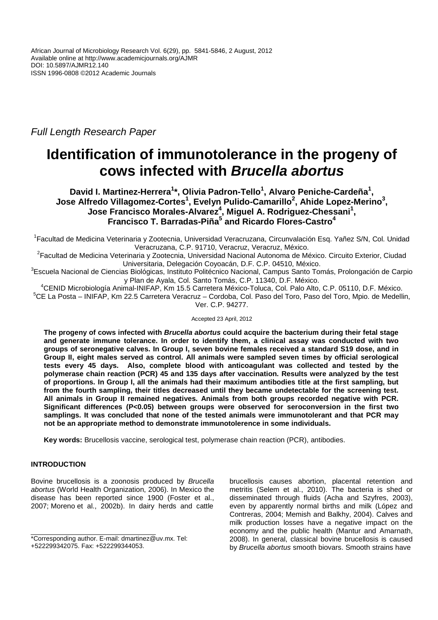Full Length Research Paper

# **Identification of immunotolerance in the progeny of cows infected with Brucella abortus**

**David I. Martinez-Herrera<sup>1</sup> \*, Olivia Padron-Tello<sup>1</sup> , Alvaro Peniche-Cardeña<sup>1</sup> , Jose Alfredo Villagomez-Cortes<sup>1</sup> , Evelyn Pulido-Camarillo<sup>2</sup> , Ahide Lopez-Merino<sup>3</sup> , Jose Francisco Morales-Alvarez<sup>4</sup> , Miguel A. Rodriguez-Chessani<sup>1</sup> , Francisco T. Barradas-Piña<sup>5</sup> and Ricardo Flores-Castro<sup>4</sup>**

<sup>1</sup> Facultad de Medicina Veterinaria y Zootecnia, Universidad Veracruzana, Circunvalación Esq. Yañez S/N, Col. Unidad Veracruzana, C.P. 91710, Veracruz, Veracruz, México.

<sup>2</sup>Facultad de Medicina Veterinaria y Zootecnia, Universidad Nacional Autonoma de México. Circuito Exterior, Ciudad Universitaria, Delegación Coyoacán, D.F. C.P. 04510, México.

<sup>3</sup>Escuela Nacional de Ciencias Biológicas, Instituto Politécnico Nacional, Campus Santo Tomás, Prolongación de Carpio y Plan de Ayala, Col. Santo Tomás, C.P. 11340, D.F. México.

<sup>4</sup>CENID Microbiología Animal-INIFAP, Km 15.5 Carretera México-Toluca, Col. Palo Alto, C.P. 05110, D.F. México. <sup>5</sup>CE La Posta – INIFAP, Km 22.5 Carretera Veracruz – Cordoba, Col. Paso del Toro, Paso del Toro, Mpio. de Medellin, Ver. C.P. 94277.

Accepted 23 April, 2012

**The progeny of cows infected with Brucella abortus could acquire the bacterium during their fetal stage and generate immune tolerance. In order to identify them, a clinical assay was conducted with two groups of seronegative calves. In Group I, seven bovine females received a standard S19 dose, and in Group II, eight males served as control. All animals were sampled seven times by official serological tests every 45 days. Also, complete blood with anticoagulant was collected and tested by the polymerase chain reaction (PCR) 45 and 135 days after vaccination. Results were analyzed by the test of proportions. In Group I, all the animals had their maximum antibodies title at the first sampling, but from the fourth sampling, their titles decreased until they became undetectable for the screening test. All animals in Group II remained negatives. Animals from both groups recorded negative with PCR. Significant differences (P<0.05) between groups were observed for seroconversion in the first two samplings. It was concluded that none of the tested animals were immunotolerant and that PCR may not be an appropriate method to demonstrate immunotolerence in some individuals.** 

**Key words:** Brucellosis vaccine, serological test, polymerase chain reaction (PCR), antibodies.

## **INTRODUCTION**

Bovine brucellosis is a zoonosis produced by Brucella abortus (World Health Organization, 2006). In Mexico the disease has been reported since 1900 (Foster et al., 2007; Moreno et al., 2002b). In dairy herds and cattle

brucellosis causes abortion, placental retention and metritis (Selem et al., 2010). The bacteria is shed or disseminated through fluids (Acha and Szyfres, 2003), even by apparently normal births and milk (López and Contreras, 2004; Memish and Balkhy, 2004). Calves and milk production losses have a negative impact on the economy and the public health (Mantur and Amarnath, 2008). In general, classical bovine brucellosis is caused by Brucella abortus smooth biovars. Smooth strains have

<sup>\*</sup>Corresponding author. E-mail: dmartinez@uv.mx. Tel:

<sup>+522299342075.</sup> Fax: +522299344053.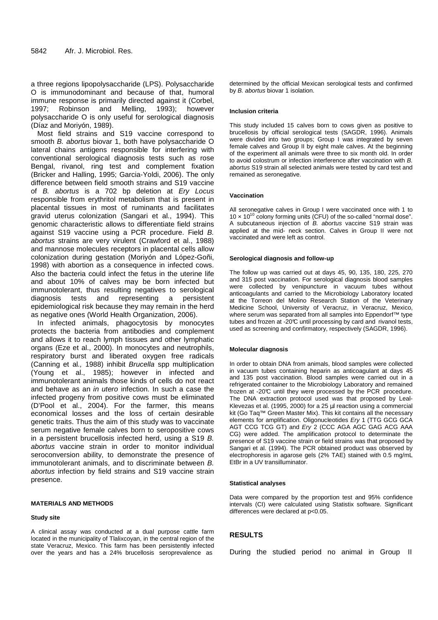a three regions lipopolysaccharide (LPS). Polysaccharide O is immunodominant and because of that, humoral immune response is primarily directed against it (Corbel, 1997; Robinson and Melling, 1993); however polysaccharide O is only useful for serological diagnosis (Díaz and Moriyón, 1989).

Most field strains and S19 vaccine correspond to smooth B. abortus biovar 1, both have polysaccharide O lateral chains antigens responsible for interfering with conventional serological diagnosis tests such as rose Bengal, rivanol, ring test and complement fixation (Bricker and Halling, 1995; Garcia-Yoldi, 2006). The only difference between field smooth strains and S19 vaccine of B. abortus is a 702 bp deletion at Ery Locus responsible from erythritol metabolism that is present in placental tissues in most of ruminants and facilitates gravid uterus colonization (Sangari et al., 1994). This genomic characteristic allows to differentiate field strains against S19 vaccine using a PCR procedure. Field B. abortus strains are very virulent (Crawford et al., 1988) and mannose molecules receptors in placental cells allow colonization during gestation (Moriyón and López-Goñi, 1998) with abortion as a consequence in infected cows. Also the bacteria could infect the fetus in the uterine life and about 10% of calves may be born infected but immunotolerant, thus resulting negatives to serological diagnosis tests and representing a persistent epidemiological risk because they may remain in the herd as negative ones (World Health Organization, 2006).

In infected animals, phagocytosis by monocytes protects the bacteria from antibodies and complement and allows it to reach lymph tissues and other lymphatic organs (Eze et al., 2000). In monocytes and neutrophils, respiratory burst and liberated oxygen free radicals (Canning et al., 1988) inhibit Brucella spp multiplication (Young et al., 1985); however in infected and immunotolerant animals those kinds of cells do not react and behave as an in utero infection. In such a case the infected progeny from positive cows must be eliminated (D'Pool et al., 2004). For the farmer, this means economical losses and the loss of certain desirable genetic traits. Thus the aim of this study was to vaccinate serum negative female calves born to seropositive cows in a persistent brucellosis infected herd, using a S19 B. abortus vaccine strain in order to monitor individual seroconversion ability, to demonstrate the presence of immunotolerant animals, and to discriminate between B. abortus infection by field strains and S19 vaccine strain presence.

## **MATERIALS AND METHODS**

#### **Study site**

A clinical assay was conducted at a dual purpose cattle farm located in the municipality of Tlalixcoyan, in the central region of the state Veracruz, Mexico. This farm has been persistently infected over the years and has a 24% brucellosis seroprevalence as

determined by the official Mexican serological tests and confirmed by *B. abortus* biovar 1 isolation.

#### **Inclusion criteria**

This study included 15 calves born to cows given as positive to brucellosis by official serological tests (SAGDR, 1996). Animals were divided into two groups; Group I was integrated by seven female calves and Group II by eight male calves. At the beginning of the experiment all animals were three to six month old. In order to avoid colostrum or infection interference after vaccination with B. abortus S19 strain all selected animals were tested by card test and remained as seronegative.

#### **Vaccination**

All seronegative calves in Group I were vaccinated once with 1 to 10  $\times$  10<sup>10</sup> colony forming units (CFU) of the so-called "normal dose". A subcutaneous injection of B. abortus vaccine S19 strain was applied at the mid- neck section. Calves in Group II were not vaccinated and were left as control.

#### **Serological diagnosis and follow-up**

The follow up was carried out at days 45, 90, 135, 180, 225, 270 and 315 post vaccination. For serological diagnosis blood samples were collected by venipuncture in vacuum tubes without anticoagulants and carried to the Microbiology Laboratory located at the Torreon del Molino Research Station of the Veterinary Medicine School, University of Veracruz, in Veracruz, Mexico, where serum was separated from all samples into Eppendorf™ type tubes and frozen at -20°C until processing by card and rivanol tests, used as screening and confirmatory, respectively (SAGDR, 1996).

#### **Molecular diagnosis**

In order to obtain DNA from animals, blood samples were collected in vacuum tubes containing heparin as anticoagulant at days 45 and 135 post vaccination. Blood samples were carried out in a refrigerated container to the Microbiology Laboratory and remained frozen at -20°C until they were processed by the PCR procedure. The DNA extraction protocol used was that proposed by Leal-Klevezas et al. (1995, 2000) for a 25 µl reaction using a commercial kit (Go Taq™ Green Master Mix). This kit contains all the necessary elements for amplification. Oligonucleotides Ery 1 (TTG GCG GCA AGT CCG TCG GT) and Ery 2 (CCC AGA AGC GAG ACG AAA CG) were added. The amplification protocol to determinate the presence of S19 vaccine strain or field strains was that proposed by Sangari et al. (1994). The PCR obtained product was observed by electrophoresis in agarose gels (2% TAE) stained with 0.5 mg/mL EtBr in a UV transilluminator.

#### **Statistical analyses**

Data were compared by the proportion test and 95% confidence intervals (CI) were calculated using Statistix software. Significant differences were declared at p<0.05.

### **RESULTS**

During the studied period no animal in Group II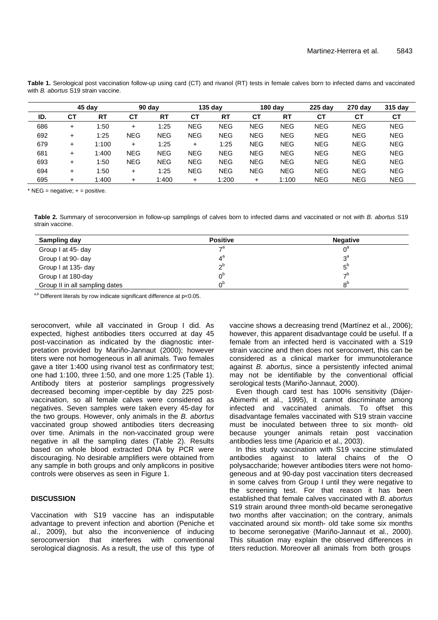|     |           | 45 day    |            | $90$ day   |            | $135$ day  |            | $180$ day  | 225 day    | 270 day    | 315 day    |
|-----|-----------|-----------|------------|------------|------------|------------|------------|------------|------------|------------|------------|
| ID. | СT        | <b>RT</b> | <b>CT</b>  | <b>RT</b>  | СT         | <b>RT</b>  | СT         | <b>RT</b>  | СT         | СT         | <b>CT</b>  |
| 686 | ÷         | 1:50      | $\ddot{}$  | $\pm 25$   | <b>NEG</b> | <b>NEG</b> | <b>NEG</b> | <b>NEG</b> | <b>NEG</b> | <b>NEG</b> | <b>NEG</b> |
| 692 | $\ddot{}$ | 1:25      | <b>NEG</b> | <b>NEG</b> | <b>NEG</b> | <b>NEG</b> | <b>NEG</b> | <b>NEG</b> | <b>NEG</b> | <b>NEG</b> | <b>NEG</b> |
| 679 | $\ddot{}$ | 1:100     | $\ddot{}$  | 1:25       | $\ddot{}$  | 1:25       | <b>NEG</b> | <b>NEG</b> | <b>NEG</b> | <b>NEG</b> | <b>NEG</b> |
| 681 | $\ddot{}$ | 1:400     | <b>NEG</b> | <b>NEG</b> | <b>NEG</b> | <b>NEG</b> | <b>NEG</b> | <b>NEG</b> | <b>NEG</b> | <b>NEG</b> | <b>NEG</b> |
| 693 | $\ddot{}$ | 1:50      | <b>NEG</b> | <b>NEG</b> | <b>NEG</b> | <b>NEG</b> | <b>NEG</b> | <b>NEG</b> | <b>NEG</b> | <b>NEG</b> | <b>NEG</b> |
| 694 | ÷         | 1:50      | $\ddot{}$  | 1:25       | <b>NEG</b> | <b>NEG</b> | <b>NEG</b> | <b>NEG</b> | <b>NEG</b> | <b>NEG</b> | <b>NEG</b> |
| 695 | ÷         | 1:400     | $\ddot{}$  | 1:400      | +          | 1:200      | +          | 1:100      | <b>NEG</b> | <b>NEG</b> | <b>NEG</b> |

Table 1. Serological post vaccination follow-up using card (CT) and rivanol (RT) tests in female calves born to infected dams and vaccinated with B. abortus S19 strain vaccine.

 $*$  NEG = negative;  $+$  = positive.

**Table 2.** Summary of seroconversion in follow-up samplings of calves born to infected dams and vaccinated or not with B. abortus S19 strain vaccine.

| Sampling day                   | <b>Positive</b> | <b>Negative</b> |
|--------------------------------|-----------------|-----------------|
| Group I at 45- day             | $\mathcal{P}^a$ | $0^{\circ}$     |
| Group I at 90- day             |                 | $2^a$           |
| Group I at 135- day            | ∩b              | $5^{\circ}$     |
| Group I at 180-day             | ∩ <sup>b</sup>  | ⇁               |
| Group II in all sampling dates | ∩b              | $8^{\circ}$     |

 $a,b$  Different literals by row indicate significant difference at p<0.05.

seroconvert, while all vaccinated in Group I did. As expected, highest antibodies titers occurred at day 45 post-vaccination as indicated by the diagnostic interpretation provided by Mariño-Jannaut (2000); however titers were not homogeneous in all animals. Two females gave a titer 1:400 using rivanol test as confirmatory test; one had 1:100, three 1:50, and one more 1:25 (Table 1). Antibody titers at posterior samplings progressively decreased becoming imper-ceptible by day 225 postvaccination, so all female calves were considered as negatives. Seven samples were taken every 45-day for the two groups. However, only animals in the B. abortus vaccinated group showed antibodies titers decreasing over time. Animals in the non-vaccinated group were negative in all the sampling dates (Table 2). Results based on whole blood extracted DNA by PCR were discouraging. No desirable amplifiers were obtained from any sample in both groups and only amplicons in positive controls were observes as seen in Figure 1.

## **DISCUSSION**

Vaccination with S19 vaccine has an indisputable advantage to prevent infection and abortion (Peniche et al., 2009), but also the inconvenience of inducing seroconversion that interferes with conventional serological diagnosis. As a result, the use of this type of vaccine shows a decreasing trend (Martínez et al., 2006); however, this apparent disadvantage could be useful. If a female from an infected herd is vaccinated with a S19 strain vaccine and then does not seroconvert, this can be considered as a clinical marker for immunotolerance against B. abortus, since a persistently infected animal may not be identifiable by the conventional official serological tests (Mariño-Jannaut, 2000).

Even though card test has 100% sensitivity (Dájer-Abimerhi et al., 1995), it cannot discriminate among infected and vaccinated animals. To offset this disadvantage females vaccinated with S19 strain vaccine must be inoculated between three to six month- old because younger animals retain post vaccination antibodies less time (Aparicio et al., 2003).

In this study vaccination with S19 vaccine stimulated antibodies against to lateral chains of the O polysaccharide; however antibodies titers were not homogeneous and at 90-day post vaccination titers decreased in some calves from Group I until they were negative to the screening test. For that reason it has been established that female calves vaccinated with B. abortus S19 strain around three month-old became seronegative two months after vaccination; on the contrary, animals vaccinated around six month- old take some six months to become seronegative (Mariño-Jannaut et al., 2000). This situation may explain the observed differences in titers reduction. Moreover all animals from both groups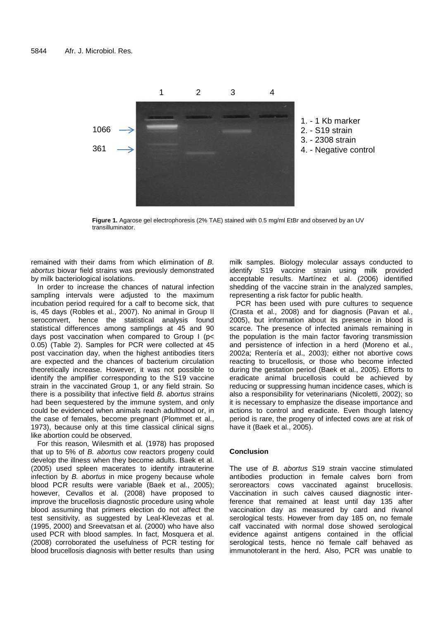

**Figure 1.** Agarose gel electrophoresis (2% TAE) stained with 0.5 mg/ml EtBr and observed by an UV transilluminator.

remained with their dams from which elimination of B. abortus biovar field strains was previously demonstrated by milk bacteriological isolations.

In order to increase the chances of natural infection sampling intervals were adjusted to the maximum incubation period required for a calf to become sick, that is, 45 days (Robles et al., 2007). No animal in Group II seroconvert, hence the statistical analysis found statistical differences among samplings at 45 and 90 days post vaccination when compared to Group I (p< 0.05) (Table 2). Samples for PCR were collected at 45 post vaccination day, when the highest antibodies titers are expected and the chances of bacterium circulation theoretically increase. However, it was not possible to identify the amplifier corresponding to the S19 vaccine strain in the vaccinated Group 1, or any field strain. So there is a possibility that infective field B. abortus strains had been sequestered by the immune system, and only could be evidenced when animals reach adulthood or, in the case of females, become pregnant (Plommet et al., 1973), because only at this time classical clinical signs like abortion could be observed.

For this reason, Wilesmith et al. (1978) has proposed that up to 5% of B. abortus cow reactors progeny could develop the illness when they become adults. Baek et al. (2005) used spleen macerates to identify intrauterine infection by B. abortus in mice progeny because whole blood PCR results were variable (Baek et al., 2005); however, Cevallos et al. (2008) have proposed to improve the brucellosis diagnostic procedure using whole blood assuming that primers election do not affect the test sensitivity, as suggested by Leal-Klevezas et al. (1995, 2000) and Sreevatsan et al. (2000) who have also used PCR with blood samples. In fact, Mosquera et al. (2008) corroborated the usefulness of PCR testing for blood brucellosis diagnosis with better results than using milk samples. Biology molecular assays conducted to identify S19 vaccine strain using milk provided acceptable results. Martínez et al. (2006) identified shedding of the vaccine strain in the analyzed samples, representing a risk factor for public health.

PCR has been used with pure cultures to sequence (Crasta et al., 2008) and for diagnosis (Pavan et al., 2005), but information about its presence in blood is scarce. The presence of infected animals remaining in the population is the main factor favoring transmission and persistence of infection in a herd (Moreno et al., 2002a; Rentería et al., 2003); either not abortive cows reacting to brucellosis, or those who become infected during the gestation period (Baek et al., 2005). Efforts to eradicate animal brucellosis could be achieved by reducing or suppressing human incidence cases, which is also a responsibility for veterinarians (Nicoletti, 2002); so it is necessary to emphasize the disease importance and actions to control and eradicate. Even though latency period is rare, the progeny of infected cows are at risk of have it (Baek et al., 2005).

## **Conclusion**

The use of B. abortus S19 strain vaccine stimulated antibodies production in female calves born from seroreactors cows vaccinated against brucellosis. Vaccination in such calves caused diagnostic interference that remained at least until day 135 after vaccination day as measured by card and rivanol serological tests. However from day 185 on, no female calf vaccinated with normal dose showed serological evidence against antigens contained in the official serological tests, hence no female calf behaved as immunotolerant in the herd. Also, PCR was unable to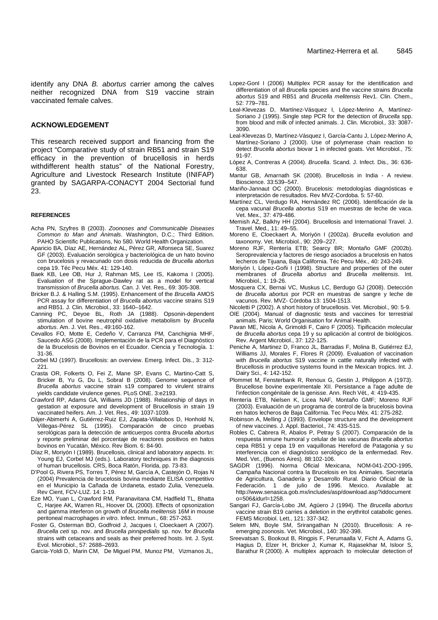identify any DNA B. abortus carrier among the calves neither recognized DNA from S19 vaccine strain vaccinated female calves.

## **ACKNOWLEDGEMENT**

This research received support and financing from the project "Comparative study of strain RB51 and strain S19 efficacy in the prevention of brucellosis in herds withdifferent health status" of the National Forestry, Agriculture and Livestock Research Institute (INIFAP) granted by SAGARPA-CONACYT 2004 Sectorial fund 23.

#### **REFERENCES**

- Acha PN, Szyfres B (2003). Zoonoses and Communicable Diseases Common to Man and Animals. Washington, D.C.; Third Edition. PAHO Scientific Publications, No 580. World Health Organization.
- Aparicio BA, Díaz AE, Hernández AL, Pérez GR, Alfonseca SE, Suarez GF (2003). Evaluación serológica y bacteriológica de un hato bovino con brucelosis y revacunado con dosis reducida de Brucella abortus cepa 19. Téc Pecu Méx. 41: 129-140.
- Baek KB, Lee OB, Hur J, Rahman MS, Lee IS, Kakoma I (2005). Evaluation of the Sprague-Dawley rat as a model for vertical transmission of Brucella abortus. Can. J. Vet. Res., 69: 305-308.
- Bricker B.J. & Halling S.M. (1995). Enhancement of the Brucella AMOS PCR assay for differentiation of Brucella abortus vaccine strains S19 and RB51. J. Clin. Microbiol., 33: 1640–1642.
- Canning PC, Deyoe BL, Roth JA (1988). Opsonin-dependent stimulation of bovine neutrophil oxidative metabolism by Brucella abortus. Am. J. Vet. Res., 49:160-162.
- Cevallos FO, Motte E, Cedeño V, Carranza PM, Canchignia MHF, Saucedo ASG (2008). Implementación de la PCR para el Diagnóstico de la Brucelosis de Bovinos en el Ecuador. Ciencia y Tecnología. 1: 31-36.
- Corbel MJ (1997). Brucellosis: an overview. Emerg. Infect. Dis., 3: 312- 221.
- Crasta OR, Folkerts O, Fei Z, Mane SP, Evans C, Martino-Catt S, Bricker B, Yu G, Du L, Sobral B (2008). Genome sequence of Brucella abortus vaccine strain s19 compared to virulent strains yields candidate virulence genes. PLoS ONE. 3:e2193.
- Crawford RP, Adams GA, Williams JD (1988). Relationship of days in gestation at exposure and development of Brucellosis in strain 19 vaccinated heifers. Am. J. Vet. Res., 49: 1037-1039.
- Dájer-Abimerhi A, Gutiérrez-Ruiz EJ, Zapata-Villalobos D, Honhold N, Villegas-Pérez SL (1995). Comparación de cinco pruebas serológicas para la detección de anticuerpos contra Brucella abortus y reporte preliminar del porcentaje de reactores positivos en hatos bovinos en Yucatán, México. Rev Biom. 6: 84-90.
- Díaz R, Moriyón I (1989). Brucellosis, clinical and laboratory aspects. In: Young EJ, Corbel MJ (eds.). Laboratory techniques in the diagnosis of human brucellosis. CRS, Boca Ratón, Florida, pp. 73-83.
- D'Pool G, Rivera PS, Torres T, Pérez M, García A, Castejón O, Rojas N (2004) Prevalencia de brucelosis bovina mediante ELISA competitivo en el Municipio la Cañada de Urdaneta, estado Zulia, Venezuela. Rev Cient, FCV-LUZ. 14: 1-19.
- Eze MO, Yuan L, Crawford RM, Paranavitana CM, Hadfield TL, Bhatta C, Harjee AK, Warren RL, Hoover DL (2000). Effects of opsonization and gamma interferon on growth of Brucella melitensis 16M in mouse peritoneal macrophages in vitro. Infect. Immun., 68: 257-263.
- Foster G, Osterman BO, Godfroid J, Jacques I, Cloeckaert A (2007). Brucella ceti sp. nov. and Brucella pinnipedialis sp. nov. for Brucella strains with cetaceans and seals as their preferred hosts. Int. J. Syst. Evol. Microbiol., 57: 2688–2693.
- Garcia-Yoldi D, Marin CM, De Miguel PM, Munoz PM, Vizmanos JL,
- Lopez-GonI I (2006) Multiplex PCR assay for the identification and differentiation of all Brucella species and the vaccine strains Brucella abortus S19 and RB51 and Brucella melitensis Rev1. Clin. Chem., 52: 779–781.
- Leal-Klevezas D, Martínez-Vásquez I, López-Merino A, Martínez-Soriano J (1995). Single step PCR for the detection of Brucella spp. from blood and milk of infected animals. J. Clin. Microbiol., 33: 3087- 3090.
- Leal-Klevezas D, Martínez-Vásquez I, García-Cantu J, López-Merino A, Martínez-Soriano J (2000). Use of polymerase chain reaction to detect Brucella abortus biovar 1 in infected goats. Vet Microbiol., 75: 91-97.
- López A, Contreras A (2004). Brucella. Scand. J. Infect. Dis., 36: 636- 638.
- Mantur GB, Amarnath SK (2008). Brucellosis in India A review. Bioscience. 33:539–547.
- Mariño-Jannaut OC (2000). Brucelosis: metodologías diagnósticas e interpretación de resultados. Rev MVZ-Cordoba. 5: 57-60.
- Martínez CL, Verdugo RA, Hernández RC (2006). Identificación de la cepa vacunal Brucella abortus S19 en muestras de leche de vaca. Vet. Mex., 37: 479-486.
- Memish AZ, Balkhy HH (2004). Brucellosis and International Travel. J. Travel. Med., 11: 49–55.
- Moreno E, Cloeckaert A, Moriyón I (2002a). Brucella evolution and taxonomy. Vet. Microbiol., 90: 209–227.
- Moreno RJF, Rentería ETB; Searcy BR; Montaño GMF (2002b). Seroprevalencia y factores de riesgo asociados a brucelosis en hatos lecheros de Tijuana, Baja California. Téc Pecu Méx., 40: 243-249.
- Moriyón I, López-Goñi I (1998). Structure and properties of the outer membranes of Brucella abortus and Brucella melitensis. Int. Microbiol., 1: 19-26.
- Mosquera CX, Bernai VC, Muskus LC, Berdugo GJ (2008). Detección de Brucella abortus por PCR en muestras de sangre y leche de vacunos. Rev. MVZ- Córdoba 13: 1504-1513.
- Nicoletti P (2002). A short history of brucellosis. Vet. Microbiol., 90: 5-9.
- OIE (2004). Manual of diagnostic tests and vaccines for terrestrial animals. Paris; World Organisation for Animal Health.
- Pavan ME, Nicola A, Grimoldi F, Cairo F (2005). Tipificación molecular de Brucella abortus cepa 19 y su aplicación al control de biológicos. Rev. Argent Microbiol., 37: 122-125.
- Peniche A, Martinez D, Franco JL, Barradas F, Molina B, Gutiérrez EJ, Williams JJ, Morales F, Flores R (2009). Evaluation of vaccination with Brucella abortus S19 vaccine in cattle naturally infected with Brucellosis in productive systems found in the Mexican tropics. Int. J. Dairy Sci., 4: 142-152.
- Plommet M, Fensterbank R, Renoux G, Gestin J, Philippon A (1973). Brucellose bovine experimentale XII. Persistance a l'age adulte de l'infection congénitale de la genisse. Ann. Rech Vét., 4: 419-435.
- Rentería ETB, Nielsen K, Licea NAF, Montaño GMF; Moreno RJF (2003). Evaluación de un programa de control de la brucelosis bovina en hatos lecheros de Baja California. Tec Pecu Méx. 41: 275-282.
- Robinson A, Melling J (1993). Envelope structure and the development of new vaccines. J. Appl. Bacteriol., 74: 43S-51S.
- Robles C, Cabrera R, Abalos P, Petray S (2007). Comparación de la respuesta inmune humoral y celular de las vacunas Brucella abortus cepa RB51 y cepa 19 en vaquillonas Hereford de Patagonia y su interferencia con el diagnóstico serológico de la enfermedad. Rev. Med. Vet., (Buenos Aires). 88:102-106.
- SAGDR (1996). Norma Oficial Mexicana, NOM-041-ZOO-1995, Campaña Nacional contra la Brucelosis en los Animales. Secretaría de Agricultura, Ganadería y Desarrollo Rural. Diario Oficial de la Federación. 1 de julio de 1996. Mexico. Available at: http://www.senasica.gob.mx/includes/asp/download.asp?iddocument o=506&idurl=1258.
- Sangari FJ, García-Lobo JM, Agüero J (1994). The Brucella abortus vaccine strain B19 carries a deletion in the erythritol catabolic genes. FEMS Microbiol. Lett., 121: 337-342.
- Selem MN, Boyle SM, Srirangathan N (2010). Brucellosis: A reemerging zoonosis. Vet. Microbiol., 140: 392-398.
- Sreevatsan S, Bookout B, Ringpis F, Perumaalla V, Ficht A, Adams G, Hagius D, Elzer H, Bricker J, Kumar K, Rajasekhar M, Isloor S, Barathur R (2000). A multiplex approach to molecular detection of